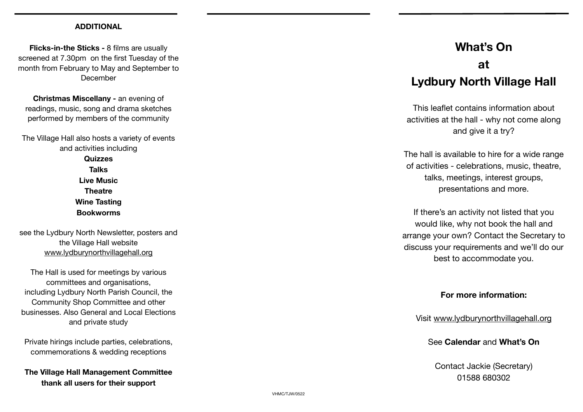## **ADDITIONAL**

**Flicks-in-the Sticks -** 8 films are usually screened at 7.30pm on the first Tuesday of the month from February to May and September to December

**Christmas Miscellany -** an evening of readings, music, song and drama sketches performed by members of the community

The Village Hall also hosts a variety of events and activities including **Quizzes Talks Live Music Theatre Wine Tasting Bookworms** 

see the Lydbury North Newsletter, posters and the Village Hall website [www.lydburynorthvillagehall.org](http://www.lydburynorthvillagehall.org)

The Hall is used for meetings by various committees and organisations, including Lydbury North Parish Council, the Community Shop Committee and other businesses. Also General and Local Elections and private study

Private hirings include parties, celebrations, commemorations & wedding receptions

**The Village Hall Management Committee thank all users for their support** 

# **What's On at**

# **Lydbury North Village Hall**

This lea flet contains information about activities at the hall - why not come along and give it a try?

The hall is available to hire for a wide range of activities - celebrations, music, theatre, talks, meetings, interest groups, presentations and more.

If there's an activity not listed that you would like, why not book the hall and arrange your own? Contact the Secretary to discuss your requirements and we'll do our best to accommodate you.

# **For more information:**

Visit [www.lydburynorthvillagehall.org](http://www.lydburynorthvillagehall.org)

See **Calendar** and **What's On** 

Contact Jackie (Secretary) 01588 680302